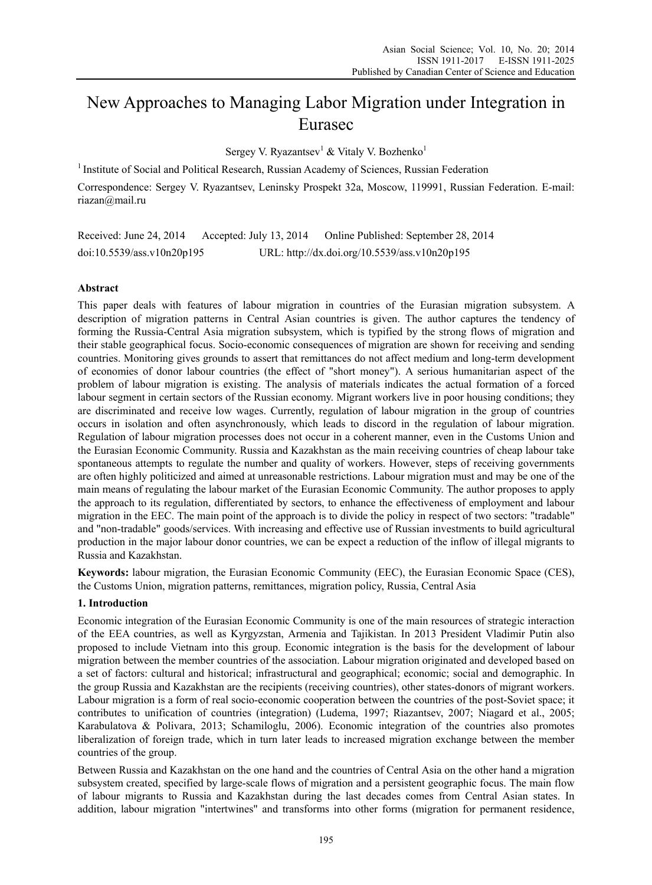# New Approaches to Managing Labor Migration under Integration in Eurasec

Sergey V. Ryazantsev<sup>1</sup> & Vitaly V. Bozhenko<sup>1</sup>

<sup>1</sup> Institute of Social and Political Research, Russian Academy of Sciences, Russian Federation

Correspondence: Sergey V. Ryazantsev, Leninsky Prospekt 32a, Moscow, 119991, Russian Federation. E-mail: riazan@mail.ru

Received: June 24, 2014 Accepted: July 13, 2014 Online Published: September 28, 2014 doi:10.5539/ass.v10n20p195 URL: http://dx.doi.org/10.5539/ass.v10n20p195

# **Abstract**

This paper deals with features of labour migration in countries of the Eurasian migration subsystem. A description of migration patterns in Central Asian countries is given. The author captures the tendency of forming the Russia-Central Asia migration subsystem, which is typified by the strong flows of migration and their stable geographical focus. Socio-economic consequences of migration are shown for receiving and sending countries. Monitoring gives grounds to assert that remittances do not affect medium and long-term development of economies of donor labour countries (the effect of "short money"). A serious humanitarian aspect of the problem of labour migration is existing. The analysis of materials indicates the actual formation of a forced labour segment in certain sectors of the Russian economy. Migrant workers live in poor housing conditions; they are discriminated and receive low wages. Currently, regulation of labour migration in the group of countries occurs in isolation and often asynchronously, which leads to discord in the regulation of labour migration. Regulation of labour migration processes does not occur in a coherent manner, even in the Customs Union and the Eurasian Economic Community. Russia and Kazakhstan as the main receiving countries of cheap labour take spontaneous attempts to regulate the number and quality of workers. However, steps of receiving governments are often highly politicized and aimed at unreasonable restrictions. Labour migration must and may be one of the main means of regulating the labour market of the Eurasian Economic Community. The author proposes to apply the approach to its regulation, differentiated by sectors, to enhance the effectiveness of employment and labour migration in the EEC. The main point of the approach is to divide the policy in respect of two sectors: "tradable" and "non-tradable" goods/services. With increasing and effective use of Russian investments to build agricultural production in the major labour donor countries, we can be expect a reduction of the inflow of illegal migrants to Russia and Kazakhstan.

**Keywords:** labour migration, the Eurasian Economic Community (EEC), the Eurasian Economic Space (CES), the Customs Union, migration patterns, remittances, migration policy, Russia, Central Asia

## **1. Introduction**

Economic integration of the Eurasian Economic Community is one of the main resources of strategic interaction of the EEA countries, as well as Kyrgyzstan, Armenia and Tajikistan. In 2013 President Vladimir Putin also proposed to include Vietnam into this group. Economic integration is the basis for the development of labour migration between the member countries of the association. Labour migration originated and developed based on a set of factors: cultural and historical; infrastructural and geographical; economic; social and demographic. In the group Russia and Kazakhstan are the recipients (receiving countries), other states-donors of migrant workers. Labour migration is a form of real socio-economic cooperation between the countries of the post-Soviet space; it contributes to unification of countries (integration) (Ludema, 1997; Riazantsev, 2007; Niagard et al., 2005; Karabulatova & Polivara, 2013; Schamiloglu, 2006). Economic integration of the countries also promotes liberalization of foreign trade, which in turn later leads to increased migration exchange between the member countries of the group.

Between Russia and Kazakhstan on the one hand and the countries of Central Asia on the other hand a migration subsystem created, specified by large-scale flows of migration and a persistent geographic focus. The main flow of labour migrants to Russia and Kazakhstan during the last decades comes from Central Asian states. In addition, labour migration "intertwines" and transforms into other forms (migration for permanent residence,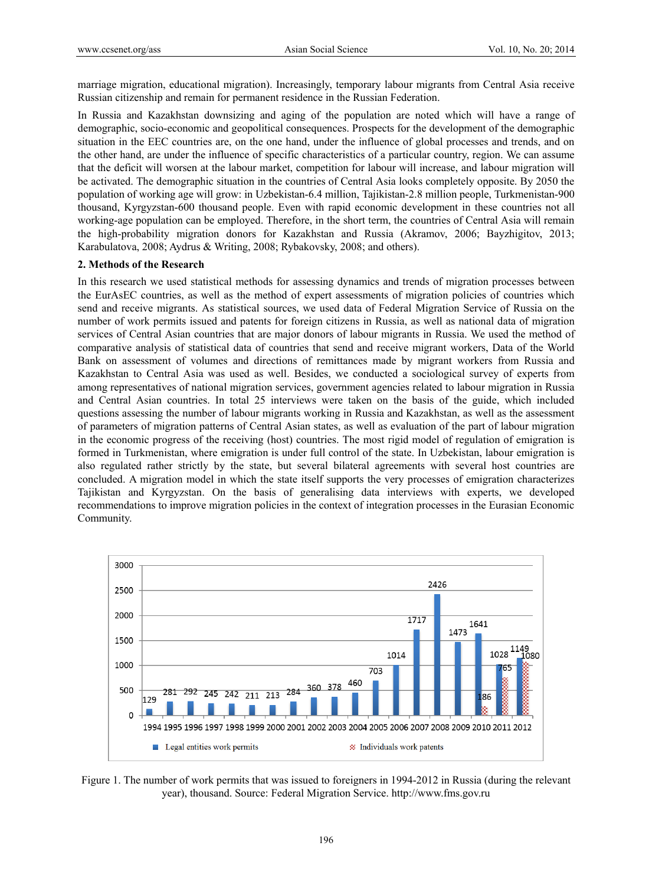marriage migration, educational migration). Increasingly, temporary labour migrants from Central Asia receive Russian citizenship and remain for permanent residence in the Russian Federation.

In Russia and Kazakhstan downsizing and aging of the population are noted which will have a range of demographic, socio-economic and geopolitical consequences. Prospects for the development of the demographic situation in the EEC countries are, on the one hand, under the influence of global processes and trends, and on the other hand, are under the influence of specific characteristics of a particular country, region. We can assume that the deficit will worsen at the labour market, competition for labour will increase, and labour migration will be activated. The demographic situation in the countries of Central Asia looks completely opposite. By 2050 the population of working age will grow: in Uzbekistan-6.4 million, Tajikistan-2.8 million people, Turkmenistan-900 thousand, Kyrgyzstan-600 thousand people. Even with rapid economic development in these countries not all working-age population can be employed. Therefore, in the short term, the countries of Central Asia will remain the high-probability migration donors for Kazakhstan and Russia (Akramov, 2006; Bayzhigitov, 2013; Karabulatova, 2008; Aydrus & Writing, 2008; Rybakovsky, 2008; and others).

#### **2. Methods of the Research**

In this research we used statistical methods for assessing dynamics and trends of migration processes between the EurAsEC countries, as well as the method of expert assessments of migration policies of countries which send and receive migrants. As statistical sources, we used data of Federal Migration Service of Russia on the number of work permits issued and patents for foreign citizens in Russia, as well as national data of migration services of Central Asian countries that are major donors of labour migrants in Russia. We used the method of comparative analysis of statistical data of countries that send and receive migrant workers, Data of the World Bank on assessment of volumes and directions of remittances made by migrant workers from Russia and Kazakhstan to Central Asia was used as well. Besides, we conducted a sociological survey of experts from among representatives of national migration services, government agencies related to labour migration in Russia and Central Asian countries. In total 25 interviews were taken on the basis of the guide, which included questions assessing the number of labour migrants working in Russia and Kazakhstan, as well as the assessment of parameters of migration patterns of Central Asian states, as well as evaluation of the part of labour migration in the economic progress of the receiving (host) countries. The most rigid model of regulation of emigration is formed in Turkmenistan, where emigration is under full control of the state. In Uzbekistan, labour emigration is also regulated rather strictly by the state, but several bilateral agreements with several host countries are concluded. A migration model in which the state itself supports the very processes of emigration characterizes Tajikistan and Kyrgyzstan. On the basis of generalising data interviews with experts, we developed recommendations to improve migration policies in the context of integration processes in the Eurasian Economic Community.



Figure 1. The number of work permits that was issued to foreigners in 1994-2012 in Russia (during the relevant year), thousand. Source: Federal Migration Service. http://www.fms.gov.ru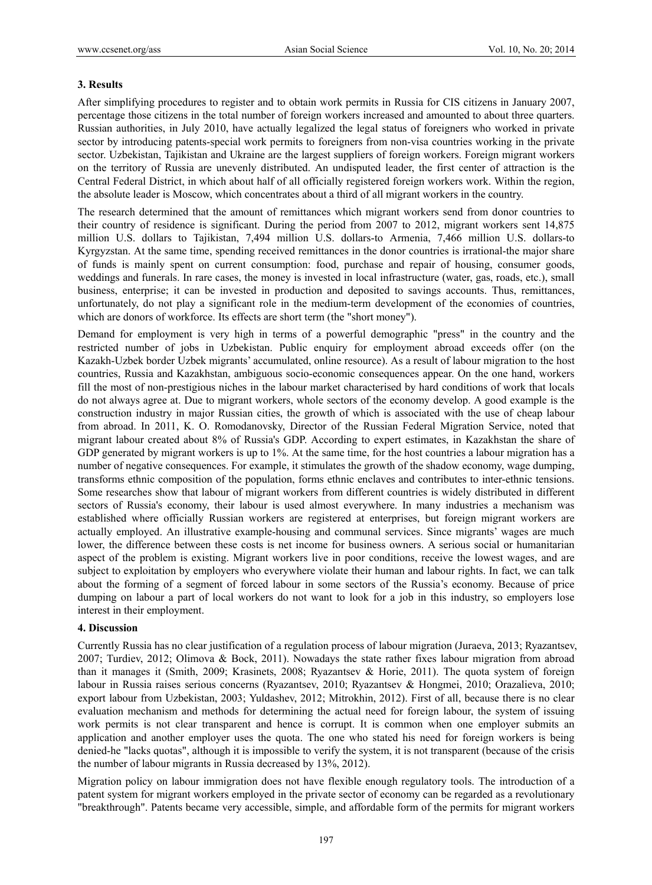# **3. Results**

After simplifying procedures to register and to obtain work permits in Russia for CIS citizens in January 2007, percentage those citizens in the total number of foreign workers increased and amounted to about three quarters. Russian authorities, in July 2010, have actually legalized the legal status of foreigners who worked in private sector by introducing patents-special work permits to foreigners from non-visa countries working in the private sector. Uzbekistan, Tajikistan and Ukraine are the largest suppliers of foreign workers. Foreign migrant workers on the territory of Russia are unevenly distributed. An undisputed leader, the first center of attraction is the Central Federal District, in which about half of all officially registered foreign workers work. Within the region, the absolute leader is Moscow, which concentrates about a third of all migrant workers in the country.

The research determined that the amount of remittances which migrant workers send from donor countries to their country of residence is significant. During the period from 2007 to 2012, migrant workers sent 14,875 million U.S. dollars to Tajikistan, 7,494 million U.S. dollars-to Armenia, 7,466 million U.S. dollars-to Kyrgyzstan. At the same time, spending received remittances in the donor countries is irrational-the major share of funds is mainly spent on current consumption: food, purchase and repair of housing, consumer goods, weddings and funerals. In rare cases, the money is invested in local infrastructure (water, gas, roads, etc.), small business, enterprise; it can be invested in production and deposited to savings accounts. Thus, remittances, unfortunately, do not play a significant role in the medium-term development of the economies of countries, which are donors of workforce. Its effects are short term (the "short money").

Demand for employment is very high in terms of a powerful demographic "press" in the country and the restricted number of jobs in Uzbekistan. Public enquiry for employment abroad exceeds offer (on the Kazakh-Uzbek border Uzbek migrants' accumulated, online resource). As a result of labour migration to the host countries, Russia and Kazakhstan, ambiguous socio-economic consequences appear. On the one hand, workers fill the most of non-prestigious niches in the labour market characterised by hard conditions of work that locals do not always agree at. Due to migrant workers, whole sectors of the economy develop. A good example is the construction industry in major Russian cities, the growth of which is associated with the use of cheap labour from abroad. In 2011, K. O. Romodanovsky, Director of the Russian Federal Migration Service, noted that migrant labour created about 8% of Russia's GDP. According to expert estimates, in Kazakhstan the share of GDP generated by migrant workers is up to 1%. At the same time, for the host countries a labour migration has a number of negative consequences. For example, it stimulates the growth of the shadow economy, wage dumping, transforms ethnic composition of the population, forms ethnic enclaves and contributes to inter-ethnic tensions. Some researches show that labour of migrant workers from different countries is widely distributed in different sectors of Russia's economy, their labour is used almost everywhere. In many industries a mechanism was established where officially Russian workers are registered at enterprises, but foreign migrant workers are actually employed. An illustrative example-housing and communal services. Since migrants' wages are much lower, the difference between these costs is net income for business owners. A serious social or humanitarian aspect of the problem is existing. Migrant workers live in poor conditions, receive the lowest wages, and are subject to exploitation by employers who everywhere violate their human and labour rights. In fact, we can talk about the forming of a segment of forced labour in some sectors of the Russia's economy. Because of price dumping on labour a part of local workers do not want to look for a job in this industry, so employers lose interest in their employment.

## **4. Discussion**

Currently Russia has no clear justification of a regulation process of labour migration (Juraeva, 2013; Ryazantsev, 2007; Turdiev, 2012; Olimova & Bock, 2011). Nowadays the state rather fixes labour migration from abroad than it manages it (Smith, 2009; Krasinets, 2008; Ryazantsev & Horie, 2011). The quota system of foreign labour in Russia raises serious concerns (Ryazantsev, 2010; Ryazantsev & Hongmei, 2010; Orazalieva, 2010; export labour from Uzbekistan, 2003; Yuldashev, 2012; Mitrokhin, 2012). First of all, because there is no clear evaluation mechanism and methods for determining the actual need for foreign labour, the system of issuing work permits is not clear transparent and hence is corrupt. It is common when one employer submits an application and another employer uses the quota. The one who stated his need for foreign workers is being denied-he "lacks quotas", although it is impossible to verify the system, it is not transparent (because of the crisis the number of labour migrants in Russia decreased by 13%, 2012).

Migration policy on labour immigration does not have flexible enough regulatory tools. The introduction of a patent system for migrant workers employed in the private sector of economy can be regarded as a revolutionary "breakthrough". Patents became very accessible, simple, and affordable form of the permits for migrant workers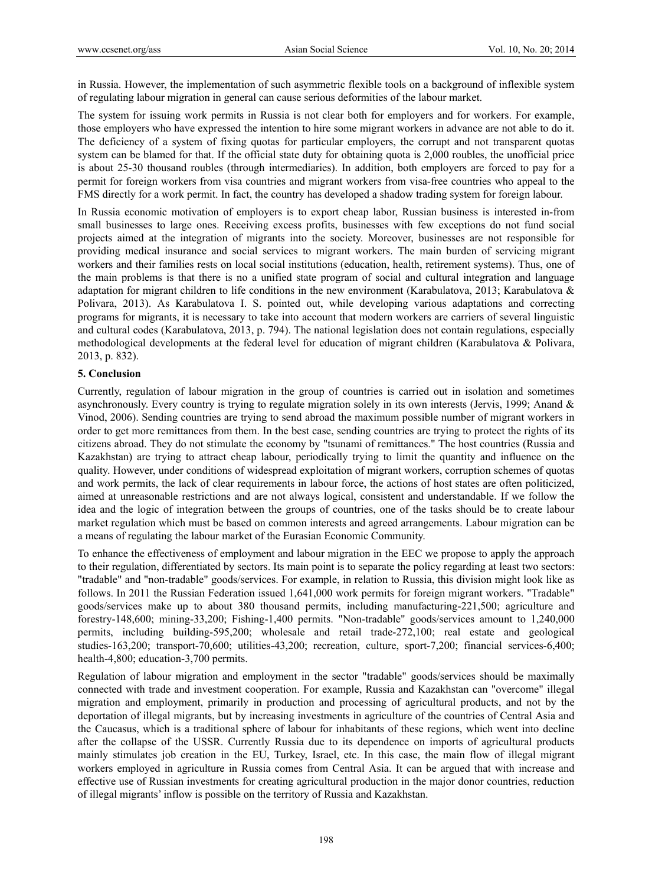in Russia. However, the implementation of such asymmetric flexible tools on a background of inflexible system of regulating labour migration in general can cause serious deformities of the labour market.

The system for issuing work permits in Russia is not clear both for employers and for workers. For example, those employers who have expressed the intention to hire some migrant workers in advance are not able to do it. The deficiency of a system of fixing quotas for particular employers, the corrupt and not transparent quotas system can be blamed for that. If the official state duty for obtaining quota is 2,000 roubles, the unofficial price is about 25-30 thousand roubles (through intermediaries). In addition, both employers are forced to pay for a permit for foreign workers from visa countries and migrant workers from visa-free countries who appeal to the FMS directly for a work permit. In fact, the country has developed a shadow trading system for foreign labour.

In Russia economic motivation of employers is to export cheap labor, Russian business is interested in-from small businesses to large ones. Receiving excess profits, businesses with few exceptions do not fund social projects aimed at the integration of migrants into the society. Moreover, businesses are not responsible for providing medical insurance and social services to migrant workers. The main burden of servicing migrant workers and their families rests on local social institutions (education, health, retirement systems). Thus, one of the main problems is that there is no a unified state program of social and cultural integration and language adaptation for migrant children to life conditions in the new environment (Karabulatova, 2013; Karabulatova & Polivara, 2013). As Karabulatova I. S. pointed out, while developing various adaptations and correcting programs for migrants, it is necessary to take into account that modern workers are carriers of several linguistic and cultural codes (Karabulatova, 2013, p. 794). Тhe national legislation does not contain regulations, especially methodological developments at the federal level for education of migrant children (Karabulatova & Polivara, 2013, p. 832).

## **5. Conclusion**

Currently, regulation of labour migration in the group of countries is carried out in isolation and sometimes asynchronously. Every country is trying to regulate migration solely in its own interests (Jervis, 1999; Anand & Vinod, 2006). Sending countries are trying to send abroad the maximum possible number of migrant workers in order to get more remittances from them. In the best case, sending countries are trying to protect the rights of its citizens abroad. They do not stimulate the economy by "tsunami of remittances." The host countries (Russia and Kazakhstan) are trying to attract cheap labour, periodically trying to limit the quantity and influence on the quality. However, under conditions of widespread exploitation of migrant workers, corruption schemes of quotas and work permits, the lack of clear requirements in labour force, the actions of host states are often politicized, aimed at unreasonable restrictions and are not always logical, consistent and understandable. If we follow the idea and the logic of integration between the groups of countries, one of the tasks should be to create labour market regulation which must be based on common interests and agreed arrangements. Labour migration can be a means of regulating the labour market of the Eurasian Economic Community.

To enhance the effectiveness of employment and labour migration in the EEC we propose to apply the approach to their regulation, differentiated by sectors. Its main point is to separate the policy regarding at least two sectors: "tradable" and "non-tradable" goods/services. For example, in relation to Russia, this division might look like as follows. In 2011 the Russian Federation issued 1,641,000 work permits for foreign migrant workers. "Tradable" goods/services make up to about 380 thousand permits, including manufacturing-221,500; agriculture and forestry-148,600; mining-33,200; Fishing-1,400 permits. "Non-tradable" goods/services amount to 1,240,000 permits, including building-595,200; wholesale and retail trade-272,100; real estate and geological studies-163,200; transport-70,600; utilities-43,200; recreation, culture, sport-7,200; financial services-6,400; health-4,800; education-3,700 permits.

Regulation of labour migration and employment in the sector "tradable" goods/services should be maximally connected with trade and investment cooperation. For example, Russia and Kazakhstan can "overcome" illegal migration and employment, primarily in production and processing of agricultural products, and not by the deportation of illegal migrants, but by increasing investments in agriculture of the countries of Central Asia and the Caucasus, which is a traditional sphere of labour for inhabitants of these regions, which went into decline after the collapse of the USSR. Currently Russia due to its dependence on imports of agricultural products mainly stimulates job creation in the EU, Turkey, Israel, etc. In this case, the main flow of illegal migrant workers employed in agriculture in Russia comes from Central Asia. It can be argued that with increase and effective use of Russian investments for creating agricultural production in the major donor countries, reduction of illegal migrants' inflow is possible on the territory of Russia and Kazakhstan.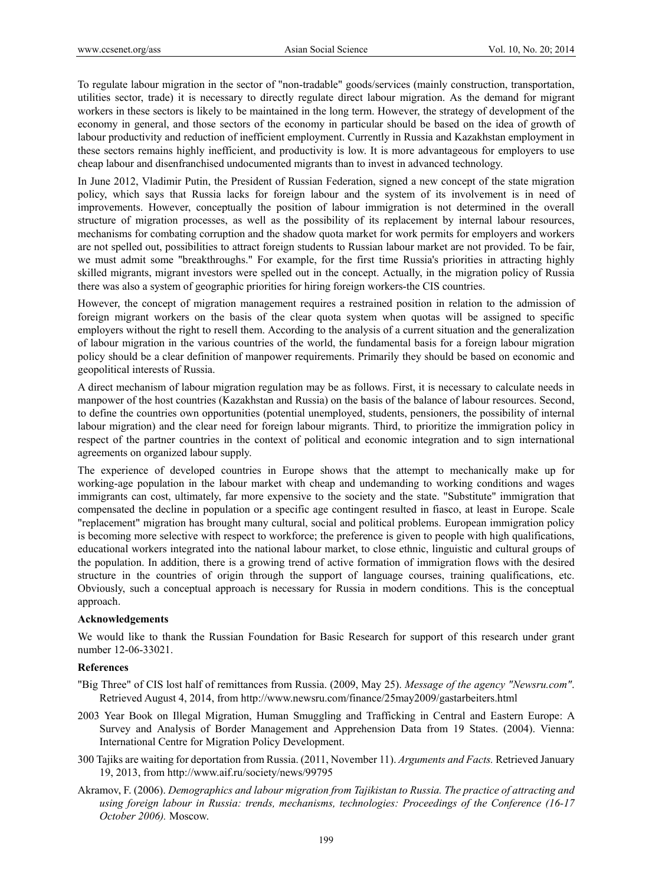To regulate labour migration in the sector of "non-tradable" goods/services (mainly construction, transportation, utilities sector, trade) it is necessary to directly regulate direct labour migration. As the demand for migrant workers in these sectors is likely to be maintained in the long term. However, the strategy of development of the economy in general, and those sectors of the economy in particular should be based on the idea of growth of labour productivity and reduction of inefficient employment. Currently in Russia and Kazakhstan employment in these sectors remains highly inefficient, and productivity is low. It is more advantageous for employers to use cheap labour and disenfranchised undocumented migrants than to invest in advanced technology.

In June 2012, Vladimir Putin, the President of Russian Federation, signed a new concept of the state migration policy, which says that Russia lacks for foreign labour and the system of its involvement is in need of improvements. However, conceptually the position of labour immigration is not determined in the overall structure of migration processes, as well as the possibility of its replacement by internal labour resources, mechanisms for combating corruption and the shadow quota market for work permits for employers and workers are not spelled out, possibilities to attract foreign students to Russian labour market are not provided. To be fair, we must admit some "breakthroughs." For example, for the first time Russia's priorities in attracting highly skilled migrants, migrant investors were spelled out in the concept. Actually, in the migration policy of Russia there was also a system of geographic priorities for hiring foreign workers-the CIS countries.

However, the concept of migration management requires a restrained position in relation to the admission of foreign migrant workers on the basis of the clear quota system when quotas will be assigned to specific employers without the right to resell them. According to the analysis of a current situation and the generalization of labour migration in the various countries of the world, the fundamental basis for a foreign labour migration policy should be a clear definition of manpower requirements. Primarily they should be based on economic and geopolitical interests of Russia.

A direct mechanism of labour migration regulation may be as follows. First, it is necessary to calculate needs in manpower of the host countries (Kazakhstan and Russia) on the basis of the balance of labour resources. Second, to define the countries own opportunities (potential unemployed, students, pensioners, the possibility of internal labour migration) and the clear need for foreign labour migrants. Third, to prioritize the immigration policy in respect of the partner countries in the context of political and economic integration and to sign international agreements on organized labour supply.

The experience of developed countries in Europe shows that the attempt to mechanically make up for working-age population in the labour market with cheap and undemanding to working conditions and wages immigrants can cost, ultimately, far more expensive to the society and the state. "Substitute" immigration that compensated the decline in population or a specific age contingent resulted in fiasco, at least in Europe. Scale "replacement" migration has brought many cultural, social and political problems. European immigration policy is becoming more selective with respect to workforce; the preference is given to people with high qualifications, educational workers integrated into the national labour market, to close ethnic, linguistic and cultural groups of the population. In addition, there is a growing trend of active formation of immigration flows with the desired structure in the countries of origin through the support of language courses, training qualifications, etc. Obviously, such a conceptual approach is necessary for Russia in modern conditions. This is the conceptual approach.

#### **Acknowledgements**

We would like to thank the Russian Foundation for Basic Research for support of this research under grant number 12-06-33021.

## **References**

- "Big Three" of CIS lost half of remittances from Russia. (2009, May 25). *Message of the agency "Newsru.com"*. Retrieved August 4, 2014, from http://www.newsru.com/finance/25may2009/gastarbeiters.html
- 2003 Year Book on Illegal Migration, Human Smuggling and Trafficking in Central and Eastern Europe: A Survey and Analysis of Border Management and Apprehension Data from 19 States. (2004). Vienna: International Centre for Migration Policy Development.
- 300 Tajiks are waiting for deportation from Russia. (2011, November 11). *Arguments and Facts.* Retrieved January 19, 2013, from http://www.aif.ru/society/news/99795
- Akramov, F. (2006). *Demographics and labour migration from Tajikistan to Russia. The practice of attracting and using foreign labour in Russia: trends, mechanisms, technologies: Proceedings of the Conference (16-17 October 2006).* Moscow.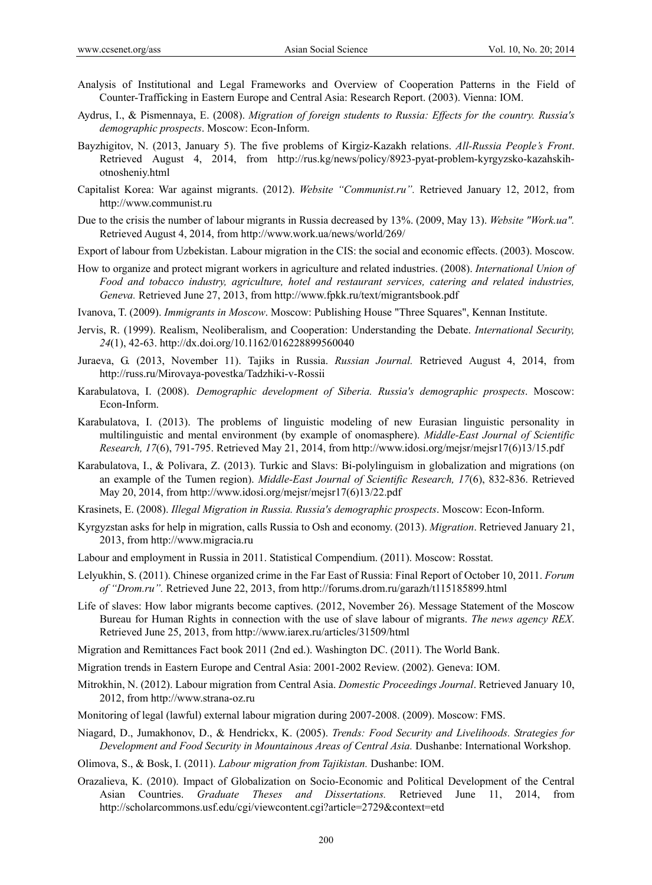- Analysis of Institutional and Legal Frameworks and Overview of Cooperation Patterns in the Field of Counter-Trafficking in Eastern Europe and Central Asia: Research Report. (2003). Vienna: IOM.
- Aydrus, I., & Pismennaya, E. (2008). *Migration of foreign students to Russia: Effects for the country. Russia's demographic prospects*. Moscow: Econ-Inform.
- Bayzhigitov, N. (2013, January 5). The five problems of Kirgiz-Kazakh relations. *All-Russia People's Front*. Retrieved August 4, 2014, from http://rus.kg/news/policy/8923-pyat-problem-kyrgyzsko-kazahskihotnosheniy.html
- Capitalist Korea: War against migrants. (2012). *Website "Communist.ru".* Retrieved January 12, 2012, from http://www.communist.ru
- Due to the crisis the number of labour migrants in Russia decreased by 13%. (2009, May 13). *Website "Work.ua".* Retrieved August 4, 2014, from http://www.work.ua/news/world/269/
- Export of labour from Uzbekistan. Labour migration in the CIS: the social and economic effects. (2003). Moscow.
- How to organize and protect migrant workers in agriculture and related industries. (2008). *International Union of Food and tobacco industry, agriculture, hotel and restaurant services, catering and related industries, Geneva.* Retrieved June 27, 2013, from http://www.fpkk.ru/text/migrantsbook.pdf
- Ivanova, T. (2009). *Immigrants in Moscow*. Moscow: Publishing House "Three Squares", Kennan Institute.
- Jervis, R. (1999). Realism, Neoliberalism, and Cooperation: Understanding the Debate. *International Security, 24*(1), 42-63. http://dx.doi.org/10.1162/016228899560040
- Juraeva, G. (2013, November 11). Tajiks in Russia. *Russian Journal.* Retrieved August 4, 2014, from http://russ.ru/Mirovaya-povestka/Tadzhiki-v-Rossii
- Karabulatova, I. (2008). *Demographic development of Siberia. Russia's demographic prospects*. Moscow: Econ-Inform.
- Karabulatova, I. (2013). The problems of linguistic modeling of new Eurasian linguistic personality in multilinguistic and mental environment (by example of onomasphere). *Middle-East Journal of Scientific Research, 17*(6), 791-795. Retrieved May 21, 2014, from http://www.idosi.org/mejsr/mejsr17(6)13/15.pdf
- Karabulatova, I., & Polivara, Z. (2013). Turkic and Slavs: Bi-polylinguism in globalization and migrations (on an example of the Tumen region). *Middle-East Journal of Scientific Research, 17*(6), 832-836. Retrieved May 20, 2014, from http://www.idosi.org/mejsr/mejsr17(6)13/22.pdf
- Krasinets, E. (2008). *Illegal Migration in Russia. Russia's demographic prospects*. Moscow: Econ-Inform.
- Kyrgyzstan asks for help in migration, calls Russia to Osh and economy. (2013). *Migration*. Retrieved January 21, 2013, from http://www.migracia.ru
- Labour and employment in Russia in 2011. Statistical Compendium. (2011). Moscow: Rosstat.
- Lelyukhin, S. (2011). Chinese organized crime in the Far East of Russia: Final Report of October 10, 2011. *Forum of "Drom.ru".* Retrieved June 22, 2013, from http://forums.drom.ru/garazh/t115185899.html
- Life of slaves: How labor migrants become captives. (2012, November 26). Message Statement of the Moscow Bureau for Human Rights in connection with the use of slave labour of migrants. *The news agency REX*. Retrieved June 25, 2013, from http://www.iarex.ru/articles/31509/html
- Migration and Remittances Fact book 2011 (2nd ed.). Washington DC. (2011). The World Bank.
- Migration trends in Eastern Europe and Central Asia: 2001-2002 Review. (2002). Geneva: IOM.
- Mitrokhin, N. (2012). Labour migration from Central Asia. *Domestic Proceedings Journal*. Retrieved January 10, 2012, from http://www.strana-oz.ru
- Monitoring of legal (lawful) external labour migration during 2007-2008. (2009). Moscow: FMS.
- Niagard, D., Jumakhonov, D., & Hendrickx, K. (2005). *Trends: Food Security and Livelihoods. Strategies for Development and Food Security in Mountainous Areas of Central Asia.* Dushanbe: International Workshop.
- Olimova, S., & Bosk, I. (2011). *Labour migration from Tajikistan.* Dushanbe: IOM.
- Orazalieva, K. (2010). Impact of Globalization on Socio-Economic and Political Development of the Central Asian Countries. *Graduate Theses and Dissertations.* Retrieved June 11, 2014, from http://scholarcommons.usf.edu/cgi/viewcontent.cgi?article=2729&context=etd